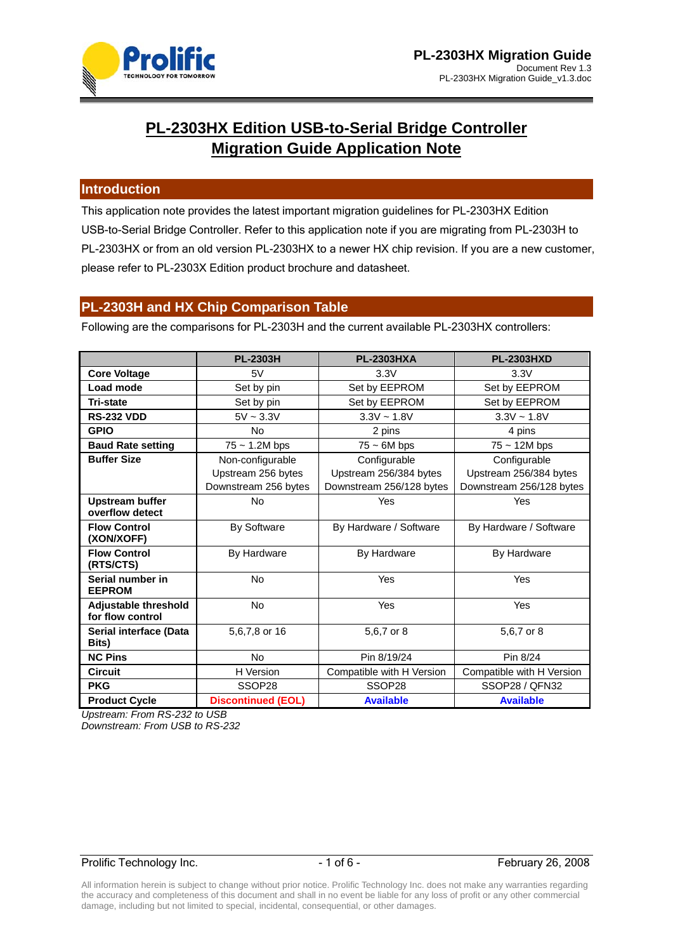

# **PL-2303HX Edition USB-to-Serial Bridge Controller Migration Guide Application Note**

### **Introduction**

This application note provides the latest important migration guidelines for PL-2303HX Edition USB-to-Serial Bridge Controller. Refer to this application note if you are migrating from PL-2303H to PL-2303HX or from an old version PL-2303HX to a newer HX chip revision. If you are a new customer, please refer to PL-2303X Edition product brochure and datasheet.

### **PL-2303H and HX Chip Comparison Table**

Following are the comparisons for PL-2303H and the current available PL-2303HX controllers:

|                                                 | <b>PL-2303H</b>           | <b>PL-2303HXA</b>         | <b>PL-2303HXD</b>         |
|-------------------------------------------------|---------------------------|---------------------------|---------------------------|
| <b>Core Voltage</b>                             | 5V                        | 3.3V                      | 3.3V                      |
| Load mode                                       | Set by pin                | Set by EEPROM             | Set by EEPROM             |
| <b>Tri-state</b>                                | Set by pin                | Set by EEPROM             | Set by EEPROM             |
| <b>RS-232 VDD</b>                               | $5V \sim 3.3V$            | $3.3V - 1.8V$             | $3.3V - 1.8V$             |
| <b>GPIO</b>                                     | <b>No</b>                 | 2 pins                    | 4 pins                    |
| <b>Baud Rate setting</b>                        | $75 \sim 1.2M$ bps        | $75 \sim 6M$ bps          | $75 \sim 12M$ bps         |
| <b>Buffer Size</b>                              | Non-configurable          | Configurable              | Configurable              |
|                                                 | Upstream 256 bytes        | Upstream 256/384 bytes    | Upstream 256/384 bytes    |
|                                                 | Downstream 256 bytes      | Downstream 256/128 bytes  | Downstream 256/128 bytes  |
| <b>Upstream buffer</b>                          | <b>No</b>                 | Yes                       | Yes                       |
| overflow detect                                 |                           |                           |                           |
| <b>Flow Control</b><br>(XON/XOFF)               | <b>By Software</b>        | By Hardware / Software    | By Hardware / Software    |
| <b>Flow Control</b><br>(RTS/CTS)                | By Hardware               | By Hardware               | By Hardware               |
| Serial number in<br><b>EEPROM</b>               | <b>No</b>                 | Yes                       | Yes                       |
| <b>Adjustable threshold</b><br>for flow control | <b>No</b>                 | Yes                       | Yes                       |
| Serial interface (Data<br>Bits)                 | 5,6,7,8 or 16             | 5,6,7 or 8                | 5,6,7 or 8                |
| <b>NC Pins</b>                                  | <b>No</b>                 | Pin 8/19/24               | Pin 8/24                  |
| <b>Circuit</b>                                  | H Version                 | Compatible with H Version | Compatible with H Version |
| <b>PKG</b>                                      | SSOP28                    | SSOP28                    | SSOP28 / QFN32            |
| <b>Product Cycle</b>                            | <b>Discontinued (EOL)</b> | <b>Available</b>          | <b>Available</b>          |

*Upstream: From RS-232 to USB* 

*Downstream: From USB to RS-232* 

### Prolific Technology Inc. The Contract of Contract Automobile 1 of 6 - The February 26, 2008

All information herein is subject to change without prior notice. Prolific Technology Inc. does not make any warranties regarding the accuracy and completeness of this document and shall in no event be liable for any loss of profit or any other commercial damage, including but not limited to special, incidental, consequential, or other damages.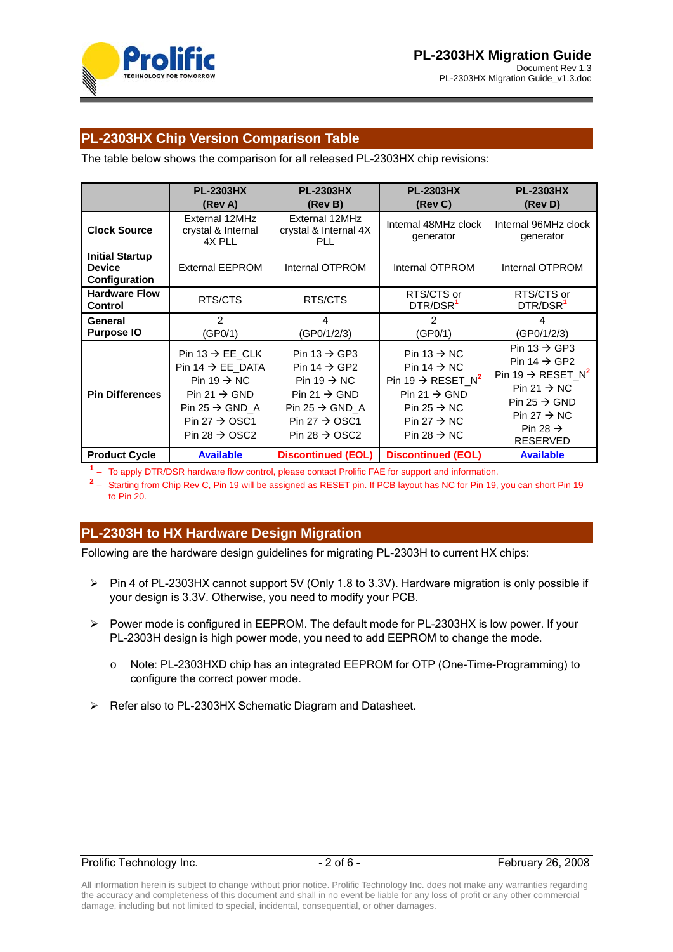



# **PL-2303HX Chip Version Comparison Table**

The table below shows the comparison for all released PL-2303HX chip revisions:

|                                                          | <b>PL-2303HX</b><br>(Rev A)                                                                                                                                                                                | <b>PL-2303HX</b><br>(Rev B)                                                                                                                                                                         | <b>PL-2303HX</b><br>(Rev C)                                                                                                                                                                                  | <b>PL-2303HX</b><br>(Rev D)                                                                                                                                                                                                    |
|----------------------------------------------------------|------------------------------------------------------------------------------------------------------------------------------------------------------------------------------------------------------------|-----------------------------------------------------------------------------------------------------------------------------------------------------------------------------------------------------|--------------------------------------------------------------------------------------------------------------------------------------------------------------------------------------------------------------|--------------------------------------------------------------------------------------------------------------------------------------------------------------------------------------------------------------------------------|
| <b>Clock Source</b>                                      | External 12MHz<br>crystal & Internal<br>4X PLL                                                                                                                                                             | External 12MHz<br>crystal & Internal 4X<br>PLL.                                                                                                                                                     | Internal 48MHz clock<br>generator                                                                                                                                                                            | Internal 96MHz clock<br>generator                                                                                                                                                                                              |
| <b>Initial Startup</b><br><b>Device</b><br>Configuration | <b>External EEPROM</b>                                                                                                                                                                                     | Internal OTPROM                                                                                                                                                                                     | Internal OTPROM                                                                                                                                                                                              | Internal OTPROM                                                                                                                                                                                                                |
| <b>Hardware Flow</b><br><b>Control</b>                   | RTS/CTS                                                                                                                                                                                                    | RTS/CTS                                                                                                                                                                                             | RTS/CTS or<br>DTR/DSR <sup>1</sup>                                                                                                                                                                           | RTS/CTS or<br>DTR/DSR <sup>1</sup>                                                                                                                                                                                             |
| General<br><b>Purpose IO</b>                             | $\overline{2}$<br>(GP0/1)                                                                                                                                                                                  | 4<br>(GP0/1/2/3)                                                                                                                                                                                    | 2<br>(GP0/1)                                                                                                                                                                                                 | 4<br>(GP0/1/2/3)                                                                                                                                                                                                               |
| <b>Pin Differences</b>                                   | Pin 13 $\rightarrow$ EE_CLK<br>Pin $14 \rightarrow EE$ DATA<br>Pin 19 $\rightarrow$ NC<br>Pin 21 $\rightarrow$ GND<br>Pin 25 $\rightarrow$ GND A<br>Pin 27 $\rightarrow$ OSC1<br>Pin 28 $\rightarrow$ OSC2 | Pin 13 $\rightarrow$ GP3<br>Pin 14 $\rightarrow$ GP2<br>Pin 19 $\rightarrow$ NC<br>Pin 21 $\rightarrow$ GND<br>Pin 25 $\rightarrow$ GND A<br>Pin 27 $\rightarrow$ OSC1<br>Pin 28 $\rightarrow$ OSC2 | Pin 13 $\rightarrow$ NC<br>Pin $14 \rightarrow NC$<br>Pin 19 $\rightarrow$ RESET N <sup>2</sup><br>Pin 21 $\rightarrow$ GND<br>Pin 25 $\rightarrow$ NC<br>Pin 27 $\rightarrow$ NC<br>Pin 28 $\rightarrow$ NC | Pin 13 $\rightarrow$ GP3<br>Pin 14 $\rightarrow$ GP2<br>Pin 19 $\rightarrow$ RESET N <sup>2</sup><br>Pin 21 $\rightarrow$ NC<br>Pin 25 $\rightarrow$ GND<br>Pin 27 $\rightarrow$ NC<br>Pin 28 $\rightarrow$<br><b>RESERVED</b> |
| <b>Product Cycle</b>                                     | <b>Available</b>                                                                                                                                                                                           | <b>Discontinued (EOL)</b>                                                                                                                                                                           | <b>Discontinued (EOL)</b>                                                                                                                                                                                    | <b>Available</b>                                                                                                                                                                                                               |

**<sup>1</sup>** – To apply DTR/DSR hardware flow control, please contact Prolific FAE for support and information.

**<sup>2</sup>** – Starting from Chip Rev C, Pin 19 will be assigned as RESET pin. If PCB layout has NC for Pin 19, you can short Pin 19 to Pin 20.

### **PL-2303H to HX Hardware Design Migration**

Following are the hardware design guidelines for migrating PL-2303H to current HX chips:

- ¾ Pin 4 of PL-2303HX cannot support 5V (Only 1.8 to 3.3V). Hardware migration is only possible if your design is 3.3V. Otherwise, you need to modify your PCB.
- ¾ Power mode is configured in EEPROM. The default mode for PL-2303HX is low power. If your PL-2303H design is high power mode, you need to add EEPROM to change the mode.
	- o Note: PL-2303HXD chip has an integrated EEPROM for OTP (One-Time-Programming) to configure the correct power mode.
- ¾ Refer also to PL-2303HX Schematic Diagram and Datasheet.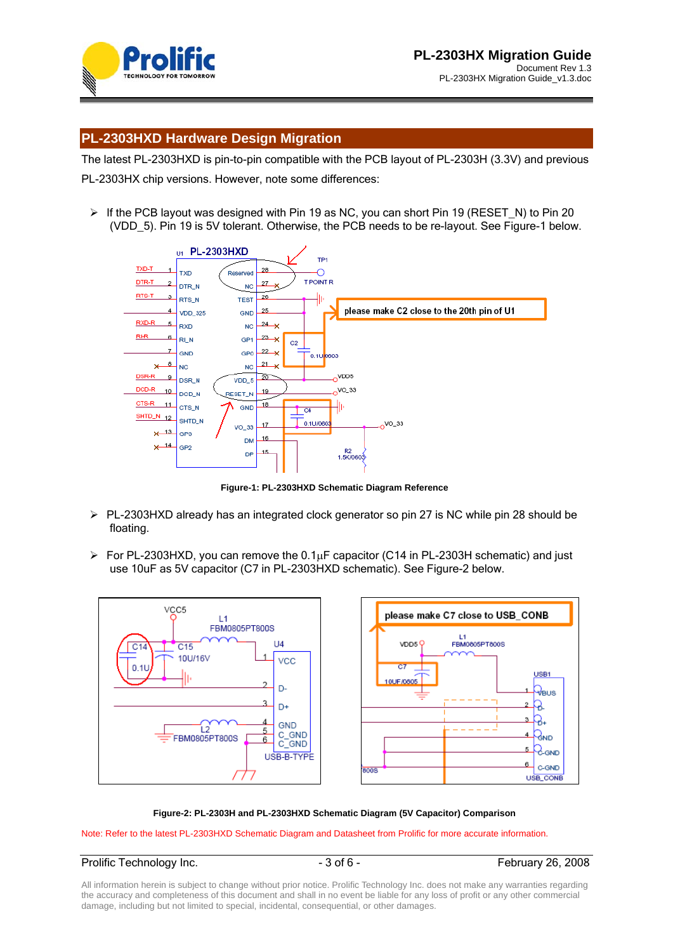

### **PL-2303HXD Hardware Design Migration**

The latest PL-2303HXD is pin-to-pin compatible with the PCB layout of PL-2303H (3.3V) and previous PL-2303HX chip versions. However, note some differences:

 $\triangleright$  If the PCB layout was designed with Pin 19 as NC, you can short Pin 19 (RESET N) to Pin 20 (VDD\_5). Pin 19 is 5V tolerant. Otherwise, the PCB needs to be re-layout. See Figure-1 below.



**Figure-1: PL-2303HXD Schematic Diagram Reference** 

- $\triangleright$  PL-2303HXD already has an integrated clock generator so pin 27 is NC while pin 28 should be floating.
- $\triangleright$  For PL-2303HXD, you can remove the 0.1 $\mu$ F capacitor (C14 in PL-2303H schematic) and just use 10uF as 5V capacitor (C7 in PL-2303HXD schematic). See Figure-2 below.



#### **Figure-2: PL-2303H and PL-2303HXD Schematic Diagram (5V Capacitor) Comparison**

Note: Refer to the latest PL-2303HXD Schematic Diagram and Datasheet from Prolific for more accurate information.

### Prolific Technology Inc. 2008 - 3 of 6 - February 26, 2008

All information herein is subject to change without prior notice. Prolific Technology Inc. does not make any warranties regarding the accuracy and completeness of this document and shall in no event be liable for any loss of profit or any other commercial damage, including but not limited to special, incidental, consequential, or other damages.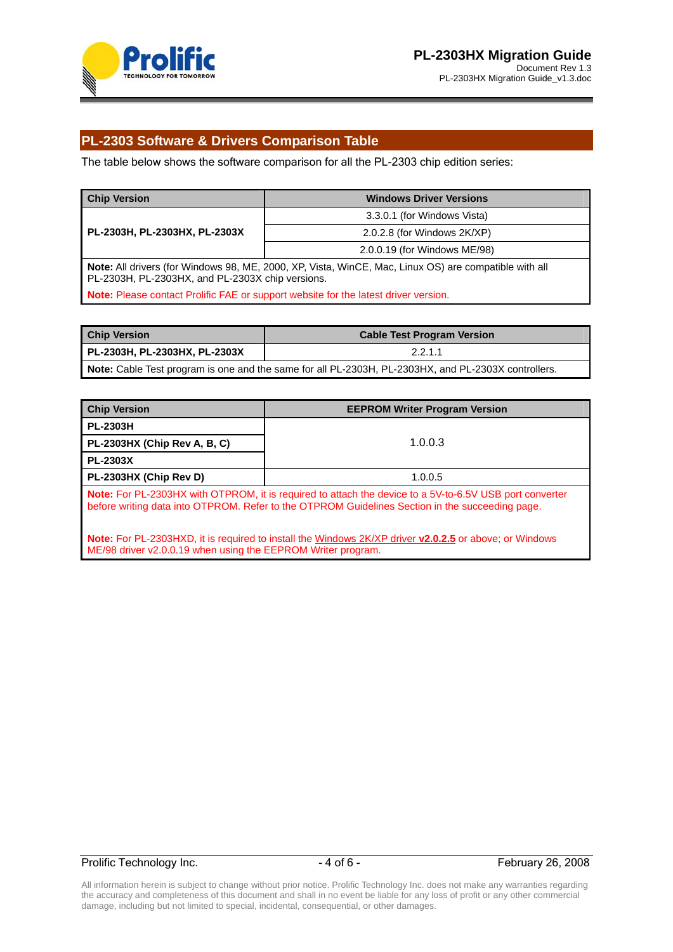

# **PL-2303 Software & Drivers Comparison Table**

The table below shows the software comparison for all the PL-2303 chip edition series:

| <b>Chip Version</b>                                                                        | <b>Windows Driver Versions</b>                                                                        |  |
|--------------------------------------------------------------------------------------------|-------------------------------------------------------------------------------------------------------|--|
|                                                                                            | 3.3.0.1 (for Windows Vista)                                                                           |  |
| PL-2303H, PL-2303HX, PL-2303X                                                              | $2.0.2.8$ (for Windows $2K(XP)$ )                                                                     |  |
|                                                                                            | 2.0.0.19 (for Windows ME/98)                                                                          |  |
| PL-2303H, PL-2303HX, and PL-2303X chip versions.                                           | Note: All drivers (for Windows 98, ME, 2000, XP, Vista, WinCE, Mac, Linux OS) are compatible with all |  |
| <b>Note:</b> Please contact Prolific FAE or support website for the latest driver version. |                                                                                                       |  |

| <b>Chip Version</b>           | <b>Cable Test Program Version</b>                                                                   |
|-------------------------------|-----------------------------------------------------------------------------------------------------|
| PL-2303H, PL-2303HX, PL-2303X | 2.2.1.1                                                                                             |
|                               | Note: Cable Test program is one and the same for all PL-2303H, PL-2303HX, and PL-2303X controllers. |

| <b>Chip Version</b>                                          | <b>EEPROM Writer Program Version</b>                                                                                                                                                                              |  |
|--------------------------------------------------------------|-------------------------------------------------------------------------------------------------------------------------------------------------------------------------------------------------------------------|--|
| <b>PL-2303H</b>                                              |                                                                                                                                                                                                                   |  |
| PL-2303HX (Chip Rev A, B, C)                                 | 1.0.0.3                                                                                                                                                                                                           |  |
| <b>PL-2303X</b>                                              |                                                                                                                                                                                                                   |  |
| PL-2303HX (Chip Rev D)                                       | 1.0.0.5                                                                                                                                                                                                           |  |
|                                                              | <b>Note:</b> For PL-2303HX with OTPROM, it is required to attach the device to a 5V-to-6.5V USB port converter<br>before writing data into OTPROM. Refer to the OTPROM Guidelines Section in the succeeding page. |  |
| ME/98 driver v2.0.0.19 when using the EEPROM Writer program. | <b>Note:</b> For PL-2303HXD, it is required to install the Windows 2K/XP driver <b>v2.0.2.5</b> or above; or Windows                                                                                              |  |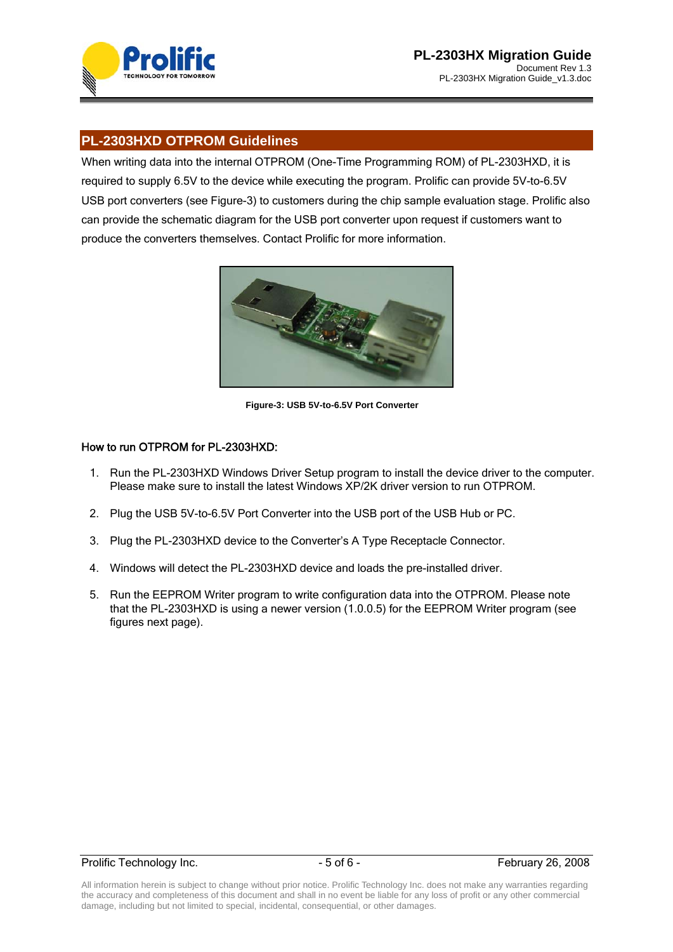

# **PL-2303HXD OTPROM Guidelines**

When writing data into the internal OTPROM (One-Time Programming ROM) of PL-2303HXD, it is required to supply 6.5V to the device while executing the program. Prolific can provide 5V-to-6.5V USB port converters (see Figure-3) to customers during the chip sample evaluation stage. Prolific also can provide the schematic diagram for the USB port converter upon request if customers want to produce the converters themselves. Contact Prolific for more information.



**Figure-3: USB 5V-to-6.5V Port Converter** 

### How to run OTPROM for PL-2303HXD:

- 1. Run the PL-2303HXD Windows Driver Setup program to install the device driver to the computer. Please make sure to install the latest Windows XP/2K driver version to run OTPROM.
- 2. Plug the USB 5V-to-6.5V Port Converter into the USB port of the USB Hub or PC.
- 3. Plug the PL-2303HXD device to the Converter's A Type Receptacle Connector.
- 4. Windows will detect the PL-2303HXD device and loads the pre-installed driver.
- 5. Run the EEPROM Writer program to write configuration data into the OTPROM. Please note that the PL-2303HXD is using a newer version (1.0.0.5) for the EEPROM Writer program (see figures next page).